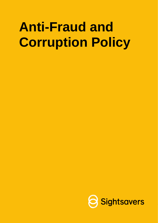# **Anti-Fraud and Corruption Policy**

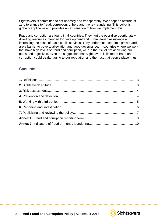Sightsavers is committed to act honestly and transparently. We adopt an attitude of zero tolerance to fraud, corruption, bribery and money laundering. This policy is globally applicable and provides an explanation of how we implement this.

Fraud and corruption are found in all countries. They hurt the poor disproportionately, diverting resources intended for development and humanitarian assistance and increasing the costs of basic public services. They undermine economic growth and are a barrier to poverty alleviation and good governance. In countries where we work that have high levels of fraud and corruption, we run the risk of not achieving our goals and objectives. Even the suggestion that Sightsavers is linked to fraud and corruption could be damaging to our reputation and the trust that people place in us.

## **Contents**



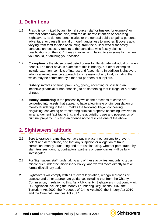# <span id="page-2-0"></span>**1. Definitions**

- 1.1. **Fraud** is committed by an internal source (staff or trustee, for example) or external source (anyone else) with the deliberate intention of deceiving Sightsavers, its donors, beneficiaries or the general public to gain a personal advantage, or cause financial or non-financial loss to another. It covers acts varying from theft to false accounting, from the builder who dishonestly conducts unnecessary repairs to the candidate who falsely claims qualifications on their CV. It may involve lying, failing to say something when you should, or abusing your position.
- 1.2. **Corruption** is the abuse of entrusted power for illegitimate individual or group benefit. The most obvious example of this is bribery, but other examples include extortion, conflicts of interest and favouritism. In addition Sightsavers adopts a zero-tolerance approach to tax evasion of any kind, including that which may be committed by either our partners or suppliers.
- 1.3. **Bribery** involves offering, promising, giving, accepting or soliciting an incentive (financial or non-financial) to do something that is illegal or a breach of trust.
- 1.4. **Money laundering** is the process by which the proceeds of crime are converted into assets that appear to have a legitimate origin. Legislation on money laundering in the UK makes the following illegal: concealing, disguising, converting or transferring criminal property; becoming involved in an arrangement facilitating this, and the acquisition, use and possession of criminal property. It is also an offence not to disclose one of the above.

# <span id="page-2-1"></span>**2. Sightsavers' attitude**

- 2.1. Zero tolerance means that we have put in place mechanisms to prevent, detect and deter abuse, and that any suspicion or allegation of fraud, corruption, money laundering and terrorist financing, whether perpetrated by staff, trustees, donors, contractors, partners or beneficiaries, will be fully investigated.
- 2.2. For Sightsavers staff, undertaking any of these activities amounts to gross misconduct under the Disciplinary Policy, and we will move directly to take formal disciplinary action.
- 2.3. Sightsavers will comply with all relevant legislation, recognised codes of practice and other appropriate guidance, including that from the Charity Commission, in relation to this. As a UK charity, Sightsavers must comply with UK legislation including the Money Laundering Regulations 2007, the Terrorism Act 2000, the Proceeds of Crime Act 2002, the Bribery Act 2010 and the Criminal Finances Act 2017.

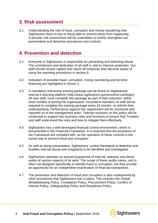## <span id="page-3-0"></span>**3. Risk assessment**

3.1. Understanding the risk of fraud, corruption and money laundering that Sightsavers faces is key to being able to prevent these from happening. A periodic risk assessment will be undertaken to further strengthen our preventative and detective procedures and controls.

## <span id="page-3-1"></span>**4. Prevention and detection**

- 4.1. Everyone in Sightsavers is responsible for preventing and detecting abuse. The commitment and dedication of all staff is vital to improve protection. Our staff should remain vigilant and report all instances they become aware of using the reporting procedures in section 6.
- 4.2. Indicators of possible fraud, corruption, money laundering and terrorist financing are highlighted in Annex 2.
- 4.3 A mandatory interactive training package can be found on Sightsavers' internal e-learning platform (http://www.sightsavers.gomocentral.com/login). All new staff, must complete this package as part of their induction, within three months of joining the organisation. Incumbent members of staff will be required to complete the training package every 24 months to refresh their understanding. Performance against this requirement will be monitored and reported on to the management team. Tailored sessions on this policy will be conducted to support key business roles and functions to ensure that Trustees and staff understand the risks and how to mitigate them effectively.
- 4.4 Sightsavers has a well-developed financial control environment, which is documented in the Financial Framework. It is essential that the provisions of the Framework are complied with, as the operation of these controls is the surest way to prevent fraud and corruption.
- 4.5 As well as being preventative, Sightsavers' control framework is detective and enables internal abuse and irregularity to be identified and investigated.
- 4.6 Sightsavers operates an annual programme of internal, statutory and donor audits of various aspects of its work. The scope of these audits varies, and is often not designed specifically to identify fraud or corruption, but they provide an opportunity for an independent examination of financial transactions.
- 4.7 The prevention and detection of fraud and corruption is also underpinned by other procedures that Sightsavers has in place. This includes the Global Whistleblowing Policy, Complaints Policy, Procurement Policy, Conflict of Interest Policy, Safeguarding Policy and Disciplinary Policy.

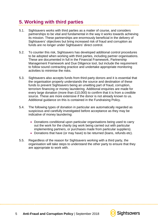# <span id="page-4-0"></span>**5. Working with third parties**

- 5.1. Sightsavers works with third parties as a matter of course, and considers partnerships to be vital and fundamental in the way it works towards achieving its mission. These partnerships are enormously beneficial in the delivery of Sightsavers' objectives but bring increased risk of fraud and corruption as funds are no longer under Sightsavers' direct control.
- 5.2. To counter this risk, Sightsavers has developed additional control procedures to be adopted when working with third parties, including partner organisations. These are documented in full in the Financial Framework, Partnership Management Framework and Due Diligence tool, but include the requirement to follow sound contracting practice and undertake appropriate monitoring activities to minimise the risks.
- 5.3. Sightsavers also accepts funds from third-party donors and it is essential that the organisation properly understands the source and destination of these funds to prevent Sightsavers being an unwitting part of fraud, corruption, terrorism financing or money laundering. Additional enquiries are made for every large donation (more than £10,000) to confirm that it is from a credible source. These are more extensive if the donor is not already known to us. Additional guidance on this is contained in the Fundraising Policy.
- 5.4. The following types of donation in particular are automatically regarded as suspicious and carefully investigated before acceptance as they may be indicative of money laundering:
	- Donations conditional upon particular organisations being used to carry out the work for the charity (eg work being carried out with particular implementing partners, or purchases made from particular suppliers).
	- Donations that have (or may have) to be returned (loans, refunds etc).
- 5.5. Regardless of the reason for Sightsavers working with a third party, the organisation will take steps to understand the other party to ensure that they are appropriate to work with.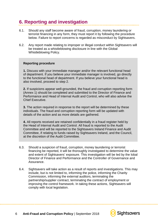# <span id="page-5-0"></span>**6. Reporting and investigation**

- 6.1. Should any staff become aware of fraud, corruption, money laundering or terrorist financing in any form, they must report it by following the procedure below. Failure to report concerns is regarded as misconduct by Sightsavers.
- 6.2. Any report made relating to improper or illegal conduct within Sightsavers will be treated as a whistleblowing disclosure in line with the Global Whistleblowing Policy.

#### **Reporting procedure**

**1.** Discuss with your immediate manager and/or the relevant functional head of department. If you believe your immediate manager is involved, go directly to the functional head of department. If you believe your functional head is also involved, proceed to step 2.

**2.** If suspicions appear well-grounded, the fraud and corruption reporting form (Annex 1) should be completed and submitted to the Director of Finance and Performance and Head of Internal Audit and Control, who will also advise the Chief Executive.

**3.** The action required in response to the report will be determined by these individuals. The fraud and corruption reporting form will be updated with details of the action and as more details are gathered.

**4.** All reports received are retained confidentially in a fraud register held by the Head of Internal Audit and Control. All fraud is reported to the Audit Committee and will be reported to the Sightsavers Ireland Finance and Audit Committee, if relating to funds raised by Sightsavers Ireland, and the Council, at the discretion of the Audit Committee.

- 6.3. Should a suspicion of fraud, corruption, money laundering or terrorist financing be reported, it will be thoroughly investigated to determine the value and extent of Sightsavers' exposure. This investigation will be led by the lobal Director of Finance and Performance and the Controller of Governance and Assurance.
- 6.4. Sightsavers will take action as a result of reports and investigations. This may include, but is not limited to, informing the police, informing the Charity Commission, informing the external auditors, terminating the partnership/supplier contract, terminating the contract of employment or improving the control framework. In taking these actions, Sightsavers will comply with local legislation.

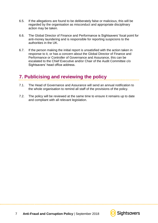- 6.5. If the allegations are found to be deliberately false or malicious, this will be regarded by the organisation as misconduct and appropriate disciplinary action may be taken.
- 6.6. The Global Director of Finance and Performance is Sightsavers' focal point for anti-money laundering and is responsible for reporting suspicions to the authorities in the UK.
- 6.7. If the person making the initial report is unsatisfied with the action taken in response to it, or has a concern about the Global Director of Finance and Performance or Controller of Governance and Assurance, this can be escalated to the Chief Executive and/or Chair of the Audit Committee c/o Sightsavers' head office address.

## <span id="page-6-0"></span>**7. Publicising and reviewing the policy**

- 7.1. The Head of Governance and Assurance will send an annual notification to the whole organisation to remind all staff of the provisions of the policy.
- 7.2. The policy will be reviewed at the same time to ensure it remains up to date and compliant with all relevant legislation.

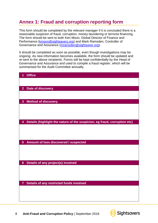# <span id="page-7-0"></span>**Annex 1: Fraud and corruption reporting form**

This form should be completed by the relevant manager if it is concluded there is a reasonable suspicion of fraud, corruption, money laundering or terrorist financing. The form should be sent to both Ken Moon, Global Director of Finance and Performance [\(kmoon@sightsavers.org\)](mailto:kmoon@sightsavers.org) and Mark Ramsden, Controller of Governance and Assurance [\(mramsden@sightsaver.org\)](mailto:mramsden@sightsaver.org).

It should be completed as soon as possible, even though investigations may be ongoing. As new information becomes available, the form should be updated and re-sent to the above recipients. Forms will be kept confidentially by the Head of Governance and Assurance and used to compile a fraud register, which will be summarised for the Audit Committee annually.

| 1              | <b>Office</b>                                                             |
|----------------|---------------------------------------------------------------------------|
|                |                                                                           |
|                |                                                                           |
| $\overline{2}$ | <b>Date of discovery</b>                                                  |
|                |                                                                           |
| $\overline{3}$ | <b>Method of discovery</b>                                                |
|                |                                                                           |
|                |                                                                           |
|                |                                                                           |
| 4              | Details (highlight the nature of the suspicion, eg fraud, corruption etc) |
|                |                                                                           |
|                |                                                                           |
|                |                                                                           |
| $5\phantom{1}$ | Amount of loss discovered / suspected                                     |
|                |                                                                           |
|                |                                                                           |
| $6\phantom{a}$ | Details of any project(s) involved                                        |
|                |                                                                           |
|                |                                                                           |
|                |                                                                           |
| $\overline{7}$ | Details of any restricted funds involved                                  |
|                |                                                                           |
|                |                                                                           |
|                |                                                                           |
|                |                                                                           |

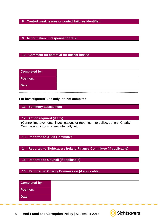| <b>Control weaknesses or control failures identified</b><br>8 |  |  |
|---------------------------------------------------------------|--|--|
|                                                               |  |  |
|                                                               |  |  |
|                                                               |  |  |
| Action taken in response to fraud<br>9                        |  |  |
|                                                               |  |  |
|                                                               |  |  |
|                                                               |  |  |
| <b>Comment on potential for further losses</b><br>10          |  |  |
|                                                               |  |  |
|                                                               |  |  |
|                                                               |  |  |
| <b>Completed by:</b>                                          |  |  |
|                                                               |  |  |
| <b>Position:</b>                                              |  |  |
|                                                               |  |  |
| Date:                                                         |  |  |
|                                                               |  |  |

## **For investigators' use only: do not complete**

| <b>Summary assessment</b><br>11                                                                                               |                                                                   |  |  |
|-------------------------------------------------------------------------------------------------------------------------------|-------------------------------------------------------------------|--|--|
|                                                                                                                               |                                                                   |  |  |
| <b>Action required (if any)</b><br>$12 \overline{ }$                                                                          |                                                                   |  |  |
| (Control improvements, investigations or reporting – to police, donors, Charity<br>Commission, inform others internally, etc) |                                                                   |  |  |
| <b>Reported to Audit Committee</b><br>13                                                                                      |                                                                   |  |  |
|                                                                                                                               |                                                                   |  |  |
| 14                                                                                                                            | Reported to Sightsavers Ireland Finance Committee (if applicable) |  |  |
|                                                                                                                               |                                                                   |  |  |
| 15<br><b>Reported to Council (if applicable)</b>                                                                              |                                                                   |  |  |
|                                                                                                                               |                                                                   |  |  |
| 16                                                                                                                            | <b>Reported to Charity Commission (if applicable)</b>             |  |  |
|                                                                                                                               |                                                                   |  |  |
| <b>Completed by:</b>                                                                                                          |                                                                   |  |  |
| <b>Position:</b>                                                                                                              |                                                                   |  |  |
| Date:                                                                                                                         |                                                                   |  |  |

<span id="page-8-0"></span>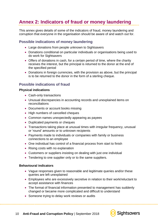## **Annex 2: Indicators of fraud or money laundering**

This annex gives details of some of the indicators of fraud, money laundering and corruption that everyone in the organisation should be aware of and watch out for.

### **Possible indications of money laundering**

- Large donations from people unknown to Sightsavers
- Donations conditional on particular individuals or organisations being used to do work for Sightsavers
- Offers of donations in cash, for a certain period of time, where the charity receives the interest, but the principal is returned to the donor at the end of the specified period
- Donations in foreign currencies, with the provision as above, but the principal is to be returned to the donor in the form of a sterling cheque.

## **Possible indications of fraud**

#### **Physical indications**

- Cash-only transactions
- Unusual discrepancies in accounting records and unexplained items on reconciliations
- Documents or account books missing
- High numbers of cancelled cheques
- Common names unexpectedly appearing as payees
- Duplicated payments or cheques
- Transactions taking place at unusual times with irregular frequency, unusual or 'round' amounts or to unknown recipients
- Payments made to individuals or companies with family or business connections to an employee
- One individual has control of a financial process from start to finish
- Rising costs with no explanation
- Customers or suppliers insisting on dealing with just one individual
- Tendering to one supplier only or to the same suppliers.

#### **Behavioural indicators**

- Vague responses given to reasonable and legitimate queries and/or these queries are left unexplained
- Employees who are excessively secretive in relation to their work/reluctant to accept assistance with finances
- The format of financial information presented to management has suddenly changed or became more complicated and difficult to understand
- Someone trying to delay work reviews or audits

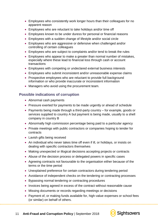- Employees who consistently work longer hours than their colleagues for no apparent reason
- Employees who are reluctant to take holidays and/or time off
- Employees known to be under duress for personal or financial reasons
- Employees with a sudden change of lifestyle and/or social circle
- Employees who are aggressive or defensive when challenged and/or controlling of certain colleagues
- Employees who are subject to complaints and/or tend to break the rules
- Employees who appear to make a greater than normal number of mistakes, especially where these lead to financial loss through cash or account transactions
- Employees with competing or undeclared external business interests
- Employees who submit inconsistent and/or unreasonable expense claims
- Prospective employees who are reluctant to provide full background information or who provide inaccurate or inconsistent information
- Managers who avoid using the procurement team.

## **Possible indications of corruption**

- Abnormal cash payments
- Pressure exerted for payments to be made urgently or ahead of schedule
- Payments being made through a third-party country for example, goods or services supplied to country A but payment is being made, usually to a shell company in country B
- Abnormally high commission percentage being paid to a particular agency
- Private meetings with public contractors or companies hoping to tender for contracts
- Lavish gifts being received
- An individual who never takes time off even if ill, or holidays, or insists on dealing with specific contractors themselves
- Making unexpected or illogical decisions accepting projects or contracts
- Abuse of the decision process or delegated powers in specific cases
- Agreeing contracts not favourable to the organisation either because of the terms or the time period
- Unexplained preference for certain contractors during tendering period
- Avoidance of independent checks on the tendering or contracting processes
- Bypassing normal tendering or contracting procedures
- Invoices being agreed in excess of the contract without reasonable cause
- Missing documents or records regarding meetings or decisions
- Payment of, or making funds available for, high-value expenses or school fees (or similar) on behalf of others.